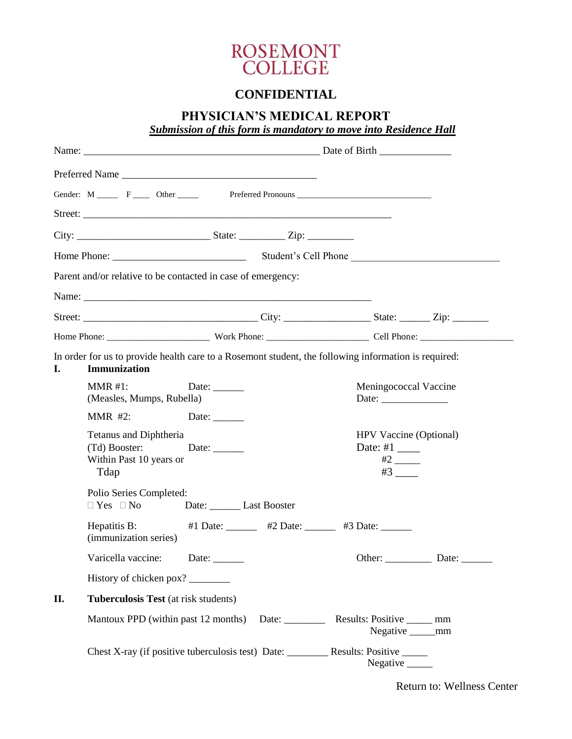

## **CONFIDENTIAL**

## **PHYSICIAN'S MEDICAL REPORT**

*Submission of this form is mandatory to move into Residence Hall*

|     | Preferred Name                                                                                                       |                               |                                              |                                                           |                       |                                                                                 |  |
|-----|----------------------------------------------------------------------------------------------------------------------|-------------------------------|----------------------------------------------|-----------------------------------------------------------|-----------------------|---------------------------------------------------------------------------------|--|
|     |                                                                                                                      |                               |                                              |                                                           |                       |                                                                                 |  |
|     |                                                                                                                      |                               |                                              |                                                           |                       |                                                                                 |  |
|     |                                                                                                                      |                               |                                              |                                                           |                       |                                                                                 |  |
|     |                                                                                                                      |                               |                                              |                                                           |                       |                                                                                 |  |
|     | Parent and/or relative to be contacted in case of emergency:                                                         |                               |                                              |                                                           |                       |                                                                                 |  |
|     |                                                                                                                      |                               |                                              |                                                           |                       |                                                                                 |  |
|     |                                                                                                                      |                               |                                              |                                                           |                       |                                                                                 |  |
|     |                                                                                                                      |                               |                                              |                                                           |                       |                                                                                 |  |
| I.  | In order for us to provide health care to a Rosemont student, the following information is required:<br>Immunization |                               |                                              |                                                           |                       |                                                                                 |  |
|     | MMR #1:<br>(Measles, Mumps, Rubella)                                                                                 | Date: $\_\_$                  |                                              |                                                           |                       | Meningococcal Vaccine<br>Date: $\frac{1}{\sqrt{1-\frac{1}{2}}\cdot\frac{1}{2}}$ |  |
|     | $MMR$ #2:<br>Date:                                                                                                   |                               |                                              |                                                           |                       |                                                                                 |  |
|     | Tetanus and Diphtheria<br>(Td) Booster: Date: _______<br>Within Past 10 years or<br>Tdap                             |                               |                                              | Date: #1 $\_\_\_\_\_\_\_\_\_\_\_\_\_\_\_\_\_\_\_\_\_\_\_$ | $#2$ <sub>_____</sub> | HPV Vaccine (Optional)                                                          |  |
|     | Polio Series Completed:<br>$\Box$ Yes $\Box$ No                                                                      | Date: __________ Last Booster |                                              |                                                           |                       |                                                                                 |  |
|     | Hepatitis B:<br>(immunization series)                                                                                |                               |                                              | #1 Date: _______ #2 Date: ______ #3 Date: _____           |                       |                                                                                 |  |
|     | Varicella vaccine:                                                                                                   | Date:                         |                                              |                                                           |                       |                                                                                 |  |
|     | History of chicken pox?                                                                                              |                               |                                              |                                                           |                       |                                                                                 |  |
| II. | Tuberculosis Test (at risk students)                                                                                 |                               |                                              |                                                           |                       |                                                                                 |  |
|     | Mantoux PPD (within past 12 months)                                                                                  |                               | Date: $\_\_\_\_\_\_\_\_\_\_\_\_\_\_\_\_\_\_$ | Results: Positive _______ mm                              |                       | Negative _______mm                                                              |  |
|     |                                                                                                                      |                               |                                              |                                                           | Negative ______       |                                                                                 |  |

Return to: Wellness Center